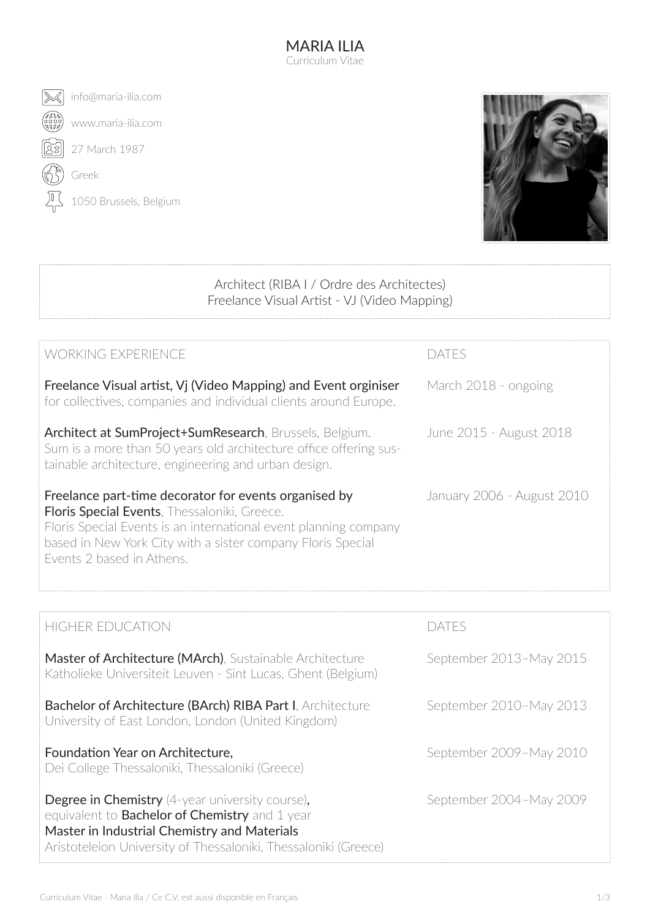MARIA ILIA Curriculum Vitae





## Architect (RIBA I / Ordre des Architectes) Freelance Visual Artist - VJ (Video Mapping)

| WORKING EXPERIENCF                                                                                                                                                                   | daifs                      |
|--------------------------------------------------------------------------------------------------------------------------------------------------------------------------------------|----------------------------|
| Freelance Visual artist, Vi (Video Mapping) and Event orginiser<br>for collectives, companies and individual clients around Europe.                                                  | March 2018 - ongoing       |
| Architect at SumProject+SumResearch, Brussels, Belgium.<br>Sum is a more than 50 years old architecture office offering sus-<br>tainable architecture, engineering and urban design. | June 2015 - August 2018    |
| Freelance part-time decorator for events organised by<br><b>Floris Special Events, Thessaloniki, Greece.</b>                                                                         | January 2006 - August 2010 |
| Floris Special Events is an international event planning company<br>based in New York City with a sister company Floris Special<br>Events 2 based in Athens.                         |                            |
|                                                                                                                                                                                      |                            |

| <b>HIGHER EDUCATION</b>                                                                                                                                                                                                            | dat es                  |
|------------------------------------------------------------------------------------------------------------------------------------------------------------------------------------------------------------------------------------|-------------------------|
| <b>Master of Architecture (MArch)</b> , Sustainable Architecture<br>Katholieke Universiteit Leuven - Sint Lucas, Ghent (Belgium)                                                                                                   | September 2013-May 2015 |
| <b>Bachelor of Architecture (BArch) RIBA Part I. Architecture</b><br>University of East London, London (United Kingdom)                                                                                                            | September 2010-May 2013 |
| Foundation Year on Architecture,<br>Dei College Thessaloniki, Thessaloniki (Greece)                                                                                                                                                | September 2009-May 2010 |
| <b>Degree in Chemistry</b> (4-year university course),<br>equivalent to <b>Bachelor of Chemistry</b> and 1 year<br>Master in Industrial Chemistry and Materials<br>Aristoteleion University of Thessaloniki, Thessaloniki (Greece) | September 2004-May 2009 |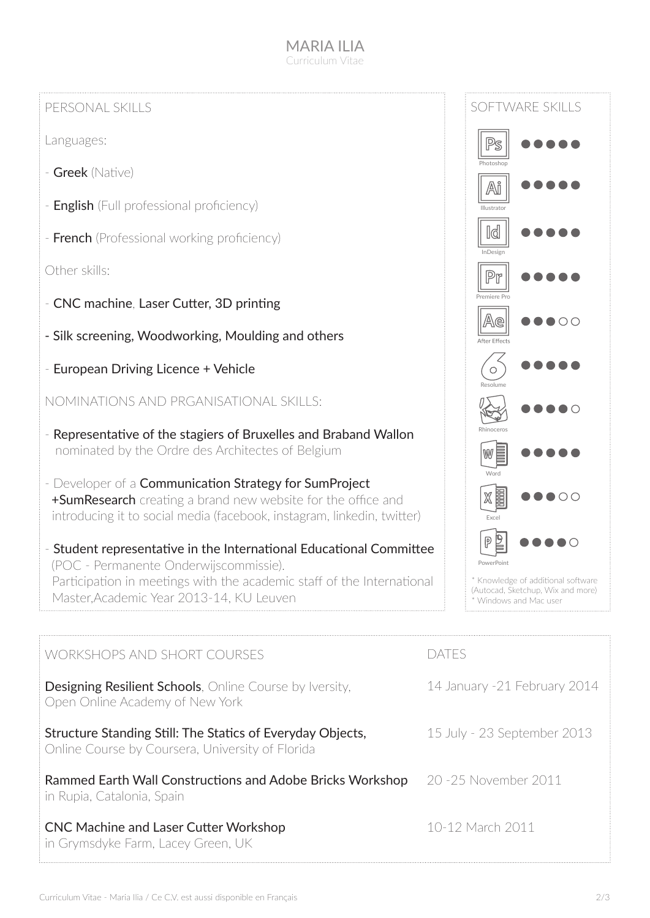## MARIA II IA Curriculum Vitae

## PERSONAL SKILLS

Languages:

- Greek (Native)
- **English** (Full professional proficiency)
- **French** (Professional working proficiency)

Other skills:

- CNC machine, Laser Cutter, 3D printing
- Silk screening, Woodworking, Moulding and others
- European Driving Licence + Vehicle

NOMINATIONS AND PRGANISATIONAL SKILLS:

- Representative of the stagiers of Bruxelles and Braband Wallon nominated by the Ordre des Architectes of Belgium
- Developer of a Communication Strategy for SumProject **+SumResearch** creating a brand new website for the office and introducing it to social media (facebook, instagram, linkedin, twitter)
- Student representative in the International Educational Committee (POC - Permanente Onderwijscommissie). Participation in meetings with the academic staff of the International Master,Academic Year 2013-14, KU Leuven



| <b>WORKSHOPS AND SHORT COURSES</b>                                                                             | A15                          |
|----------------------------------------------------------------------------------------------------------------|------------------------------|
| <b>Designing Resilient Schools</b> , Online Course by Iversity,<br>Open Online Academy of New York             | 14 January -21 February 2014 |
| Structure Standing Still: The Statics of Everyday Objects,<br>Online Course by Coursera, University of Florida | 15 July - 23 September 2013  |
| Rammed Earth Wall Constructions and Adobe Bricks Workshop<br>in Rupia, Catalonia, Spain                        | 20 - 25 November 2011        |
| <b>CNC Machine and Laser Cutter Workshop</b><br>in Grymsdyke Farm, Lacey Green, UK                             | 10-12 March 2011             |